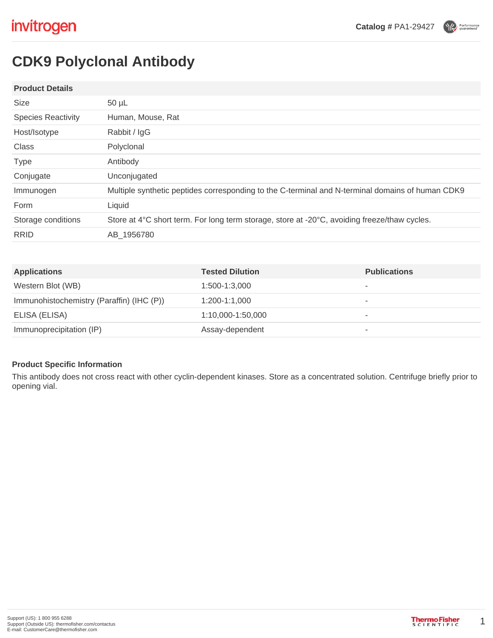Performance



### **Product Details**

| <b>Size</b>               | $50 \mu L$                                                                                       |
|---------------------------|--------------------------------------------------------------------------------------------------|
| <b>Species Reactivity</b> | Human, Mouse, Rat                                                                                |
| Host/Isotype              | Rabbit / IgG                                                                                     |
| Class                     | Polyclonal                                                                                       |
| <b>Type</b>               | Antibody                                                                                         |
| Conjugate                 | Unconjugated                                                                                     |
| Immunogen                 | Multiple synthetic peptides corresponding to the C-terminal and N-terminal domains of human CDK9 |
| Form                      | Liquid                                                                                           |
| Storage conditions        | Store at 4°C short term. For long term storage, store at -20°C, avoiding freeze/thaw cycles.     |
| <b>RRID</b>               | AB 1956780                                                                                       |
|                           |                                                                                                  |

| <b>Applications</b>                       | <b>Tested Dilution</b> | <b>Publications</b> |
|-------------------------------------------|------------------------|---------------------|
| Western Blot (WB)                         | 1:500-1:3.000          | ۰                   |
| Immunohistochemistry (Paraffin) (IHC (P)) | 1:200-1:1.000          | ۰                   |
| ELISA (ELISA)                             | 1:10,000-1:50,000      | ۰                   |
| Immunoprecipitation (IP)                  | Assay-dependent        | ۰                   |

### **Product Specific Information**

This antibody does not cross react with other cyclin-dependent kinases. Store as a concentrated solution. Centrifuge briefly prior to opening vial.

1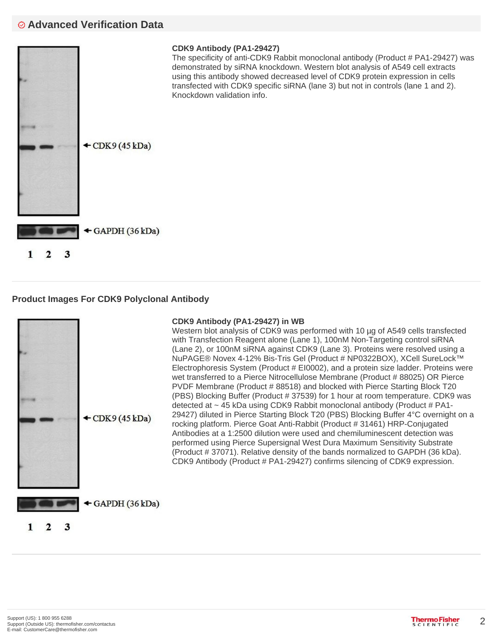# **Advanced Verification Data**



## **Product Images For CDK9 Polyclonal Antibody**



### **CDK9 Antibody (PA1-29427) in WB**

Western blot analysis of CDK9 was performed with 10 µg of A549 cells transfected with Transfection Reagent alone (Lane 1), 100nM Non-Targeting control siRNA (Lane 2), or 100nM siRNA against CDK9 (Lane 3). Proteins were resolved using a NuPAGE® Novex 4-12% Bis-Tris Gel (Product # NP0322BOX), XCell SureLock™ Electrophoresis System (Product # EI0002), and a protein size ladder. Proteins were wet transferred to a Pierce Nitrocellulose Membrane (Product # 88025) OR Pierce PVDF Membrane (Product # 88518) and blocked with Pierce Starting Block T20 (PBS) Blocking Buffer (Product # 37539) for 1 hour at room temperature. CDK9 was detected at  $\sim$  45 kDa using CDK9 Rabbit monoclonal antibody (Product # PA1-29427) diluted in Pierce Starting Block T20 (PBS) Blocking Buffer 4°C overnight on a rocking platform. Pierce Goat Anti-Rabbit (Product # 31461) HRP-Conjugated Antibodies at a 1:2500 dilution were used and chemiluminescent detection was performed using Pierce Supersignal West Dura Maximum Sensitivity Substrate (Product # 37071). Relative density of the bands normalized to GAPDH (36 kDa). CDK9 Antibody (Product # PA1-29427) confirms silencing of CDK9 expression.